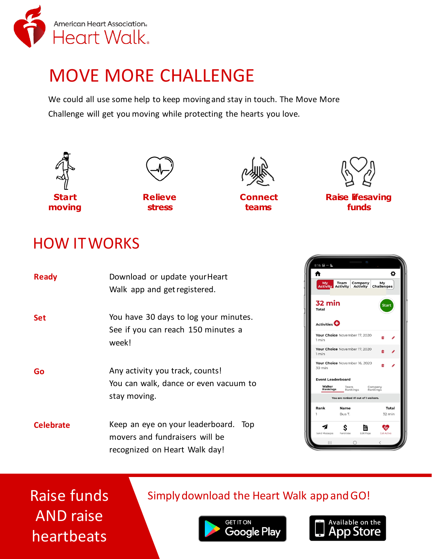

# MOVE MORE CHALLENGE

We could all use some help to keep movingand stay in touch. The Move More Challenge will get you moving while protecting the hearts you love.



Raise funds AND raise heartbeats

# Simply download the Heart Walk app and GO!



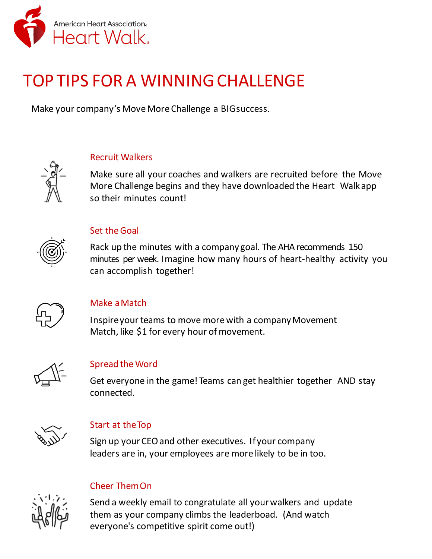

# TOP TIPS FOR A WINNINGCHALLENGE

Make your company's Move MoreChallenge a BIGsuccess.



### Recruit Walkers

Make sure all your coaches and walkers are recruited before the Move More Challenge begins and they have downloaded the Heart Walk app so their minutes count!



### Set theGoal

Rack up the minutes with a company goal. The AHA recommends 150 minutes per week. Imagine how many hours of heart-healthy activity you can accomplish together!



### Make aMatch

Inspireyour teams to move morewith a companyMovement Match, like \$1 for every hour of movement.



### Spread theWord

Get everyone in the game! Teams can get healthier together AND stay connected.



### Start at theTop

Sign up yourCEOand other executives. If your company leaders are in, your employees are more likely to be in too.



### Cheer ThemOn

Send a weekly email to congratulate all yourwalkers and update them as your company climbs the leaderboad. (And watch everyone's competitive spirit come out!)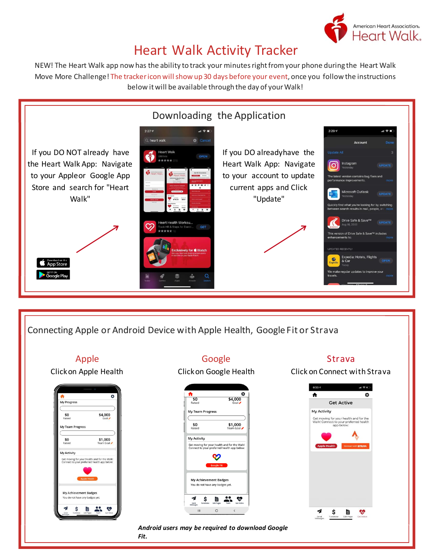

# Heart Walk Activity Tracker

NEW! The Heart Walk app now has the ability to track your minutes right from your phone during the Heart Walk Move More Challenge! The trackericon will show up 30 days before your event, once you follow the instructions below it will be available through the day of your Walk!



Connecting Apple or Android Device with Apple Health, Google Fit or Strava

## Apple



### Google

Clickon Google Health



### Strava

Click on Connect with Strava



*Android users may be required to download Google Fit.*